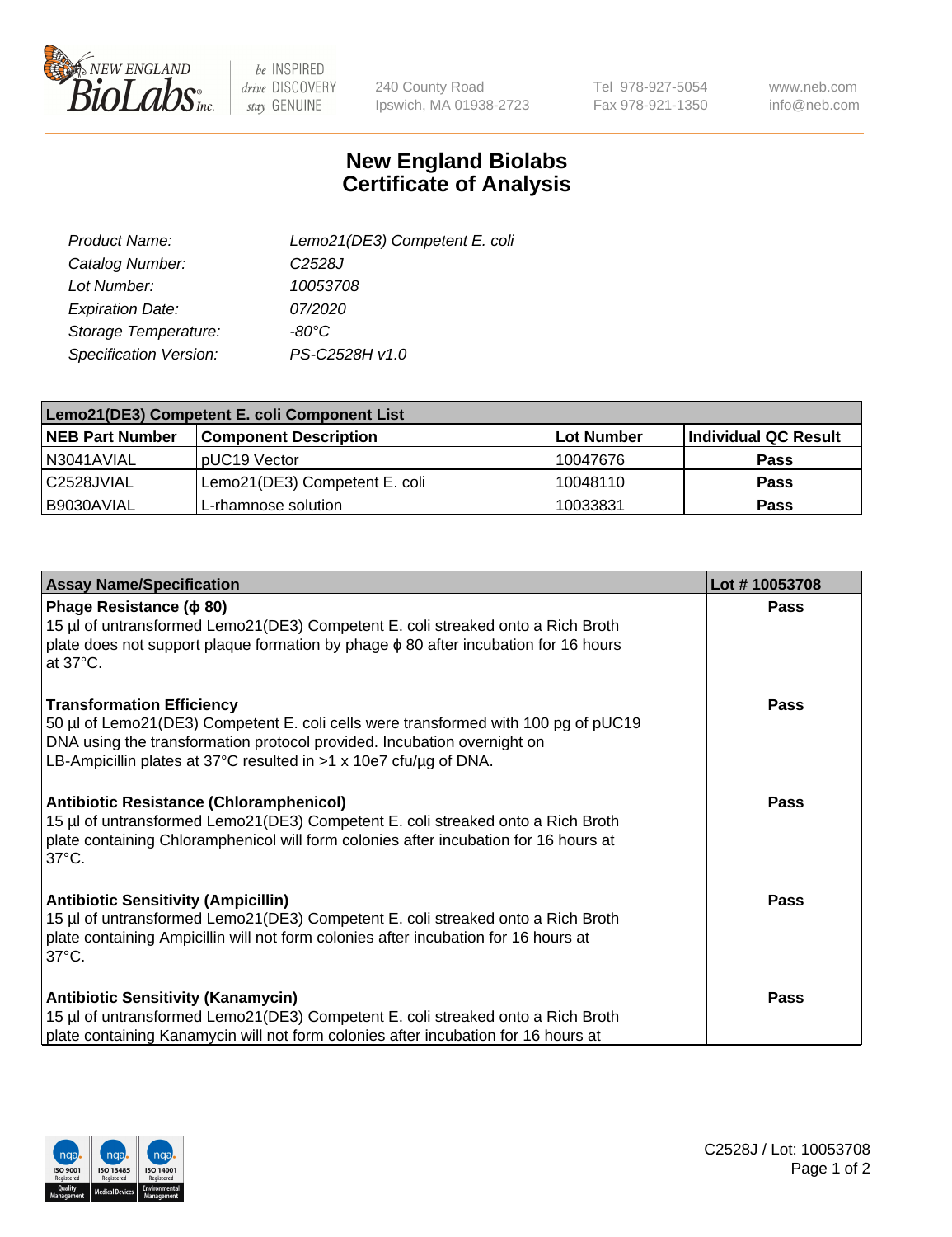

 $be$  INSPIRED drive DISCOVERY stay GENUINE

240 County Road Ipswich, MA 01938-2723 Tel 978-927-5054 Fax 978-921-1350

www.neb.com info@neb.com

## **New England Biolabs Certificate of Analysis**

| Lemo21(DE3) Competent E. coli |
|-------------------------------|
| C <sub>2528</sub> J           |
| 10053708                      |
| 07/2020                       |
| -80°C                         |
| PS-C2528H v1.0                |
|                               |

| Lemo21(DE3) Competent E. coli Component List |                               |            |                      |  |
|----------------------------------------------|-------------------------------|------------|----------------------|--|
| <b>NEB Part Number</b>                       | <b>Component Description</b>  | Lot Number | Individual QC Result |  |
| I N3041AVIAL                                 | IpUC19 Vector                 | 10047676   | <b>Pass</b>          |  |
| l C2528JVIAL                                 | Lemo21(DE3) Competent E. coli | 10048110   | <b>Pass</b>          |  |
| B9030AVIAL                                   | 'L-rhamnose solution          | 10033831   | <b>Pass</b>          |  |

| <b>Assay Name/Specification</b>                                                                                                                                                                                                                                        | Lot #10053708 |
|------------------------------------------------------------------------------------------------------------------------------------------------------------------------------------------------------------------------------------------------------------------------|---------------|
| Phage Resistance ( $\phi$ 80)<br>15 µl of untransformed Lemo21(DE3) Competent E. coli streaked onto a Rich Broth<br>plate does not support plaque formation by phage $\phi$ 80 after incubation for 16 hours<br>at 37°C.                                               | <b>Pass</b>   |
| <b>Transformation Efficiency</b><br>50 µl of Lemo21(DE3) Competent E. coli cells were transformed with 100 pg of pUC19<br>DNA using the transformation protocol provided. Incubation overnight on<br>LB-Ampicillin plates at 37°C resulted in >1 x 10e7 cfu/ug of DNA. | Pass          |
| Antibiotic Resistance (Chloramphenicol)<br>15 µl of untransformed Lemo21(DE3) Competent E. coli streaked onto a Rich Broth<br>plate containing Chloramphenicol will form colonies after incubation for 16 hours at<br>$37^{\circ}$ C.                                  | <b>Pass</b>   |
| <b>Antibiotic Sensitivity (Ampicillin)</b><br>15 µl of untransformed Lemo21(DE3) Competent E. coli streaked onto a Rich Broth<br>plate containing Ampicillin will not form colonies after incubation for 16 hours at<br>$37^{\circ}$ C.                                | Pass          |
| <b>Antibiotic Sensitivity (Kanamycin)</b><br>15 µl of untransformed Lemo21(DE3) Competent E. coli streaked onto a Rich Broth<br>plate containing Kanamycin will not form colonies after incubation for 16 hours at                                                     | <b>Pass</b>   |